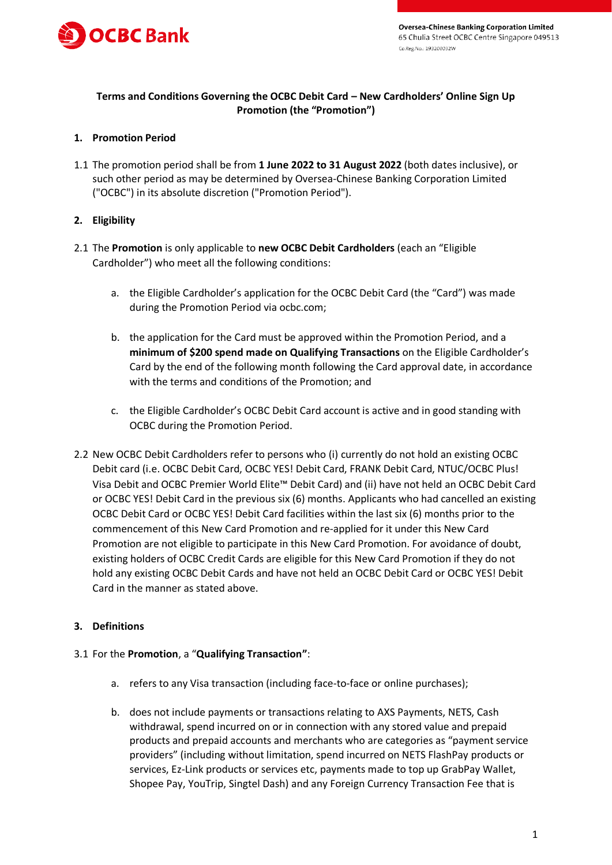

# **Terms and Conditions Governing the OCBC Debit Card – New Cardholders' Online Sign Up Promotion (the "Promotion")**

## **1. Promotion Period**

1.1 The promotion period shall be from **1 June 2022 to 31 August 2022** (both dates inclusive), or such other period as may be determined by Oversea-Chinese Banking Corporation Limited ("OCBC") in its absolute discretion ("Promotion Period").

## **2. Eligibility**

- 2.1 The **Promotion** is only applicable to **new OCBC Debit Cardholders** (each an "Eligible Cardholder") who meet all the following conditions:
	- a. the Eligible Cardholder's application for the OCBC Debit Card (the "Card") was made during the Promotion Period via ocbc.com;
	- b. the application for the Card must be approved within the Promotion Period, and a **minimum of \$200 spend made on Qualifying Transactions** on the Eligible Cardholder's Card by the end of the following month following the Card approval date, in accordance with the terms and conditions of the Promotion; and
	- c. the Eligible Cardholder's OCBC Debit Card account is active and in good standing with OCBC during the Promotion Period.
- 2.2 New OCBC Debit Cardholders refer to persons who (i) currently do not hold an existing OCBC Debit card (i.e. OCBC Debit Card, OCBC YES! Debit Card, FRANK Debit Card, NTUC/OCBC Plus! Visa Debit and OCBC Premier World Elite™ Debit Card) and (ii) have not held an OCBC Debit Card or OCBC YES! Debit Card in the previous six (6) months. Applicants who had cancelled an existing OCBC Debit Card or OCBC YES! Debit Card facilities within the last six (6) months prior to the commencement of this New Card Promotion and re-applied for it under this New Card Promotion are not eligible to participate in this New Card Promotion. For avoidance of doubt, existing holders of OCBC Credit Cards are eligible for this New Card Promotion if they do not hold any existing OCBC Debit Cards and have not held an OCBC Debit Card or OCBC YES! Debit Card in the manner as stated above.

# **3. Definitions**

#### 3.1 For the **Promotion**, a "**Qualifying Transaction"**:

- a. refers to any Visa transaction (including face-to-face or online purchases);
- b. does not include payments or transactions relating to AXS Payments, NETS, Cash withdrawal, spend incurred on or in connection with any stored value and prepaid products and prepaid accounts and merchants who are categories as "payment service providers" (including without limitation, spend incurred on NETS FlashPay products or services, Ez-Link products or services etc, payments made to top up GrabPay Wallet, Shopee Pay, YouTrip, Singtel Dash) and any Foreign Currency Transaction Fee that is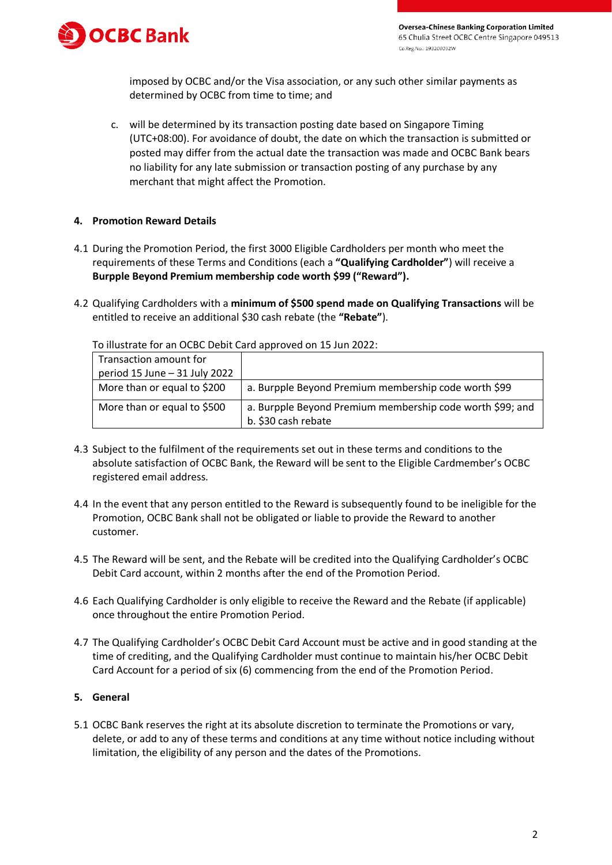

**Oversea-Chinese Banking Corporation Limited** 65 Chulia Street OCBC Centre Singapore 049513 Co.Reg.No.: 193200032W

imposed by OCBC and/or the Visa association, or any such other similar payments as determined by OCBC from time to time; and

c. will be determined by its transaction posting date based on Singapore Timing (UTC+08:00). For avoidance of doubt, the date on which the transaction is submitted or posted may differ from the actual date the transaction was made and OCBC Bank bears no liability for any late submission or transaction posting of any purchase by any merchant that might affect the Promotion.

## **4. Promotion Reward Details**

- 4.1 During the Promotion Period, the first 3000 Eligible Cardholders per month who meet the requirements of these Terms and Conditions (each a **"Qualifying Cardholder"**) will receive a **Burpple Beyond Premium membership code worth \$99 ("Reward").**
- 4.2 Qualifying Cardholders with a **minimum of \$500 spend made on Qualifying Transactions** will be entitled to receive an additional \$30 cash rebate (the **"Rebate"**).

| Transaction amount for        |                                                                                  |
|-------------------------------|----------------------------------------------------------------------------------|
| period 15 June - 31 July 2022 |                                                                                  |
| More than or equal to \$200   | a. Burpple Beyond Premium membership code worth \$99                             |
| More than or equal to \$500   | a. Burpple Beyond Premium membership code worth \$99; and<br>b. \$30 cash rebate |

To illustrate for an OCBC Debit Card approved on 15 Jun 2022:

- 4.3 Subject to the fulfilment of the requirements set out in these terms and conditions to the absolute satisfaction of OCBC Bank, the Reward will be sent to the Eligible Cardmember's OCBC registered email address.
- 4.4 In the event that any person entitled to the Reward is subsequently found to be ineligible for the Promotion, OCBC Bank shall not be obligated or liable to provide the Reward to another customer.
- 4.5 The Reward will be sent, and the Rebate will be credited into the Qualifying Cardholder's OCBC Debit Card account, within 2 months after the end of the Promotion Period.
- 4.6 Each Qualifying Cardholder is only eligible to receive the Reward and the Rebate (if applicable) once throughout the entire Promotion Period.
- 4.7 The Qualifying Cardholder's OCBC Debit Card Account must be active and in good standing at the time of crediting, and the Qualifying Cardholder must continue to maintain his/her OCBC Debit Card Account for a period of six (6) commencing from the end of the Promotion Period.

## **5. General**

5.1 OCBC Bank reserves the right at its absolute discretion to terminate the Promotions or vary, delete, or add to any of these terms and conditions at any time without notice including without limitation, the eligibility of any person and the dates of the Promotions.